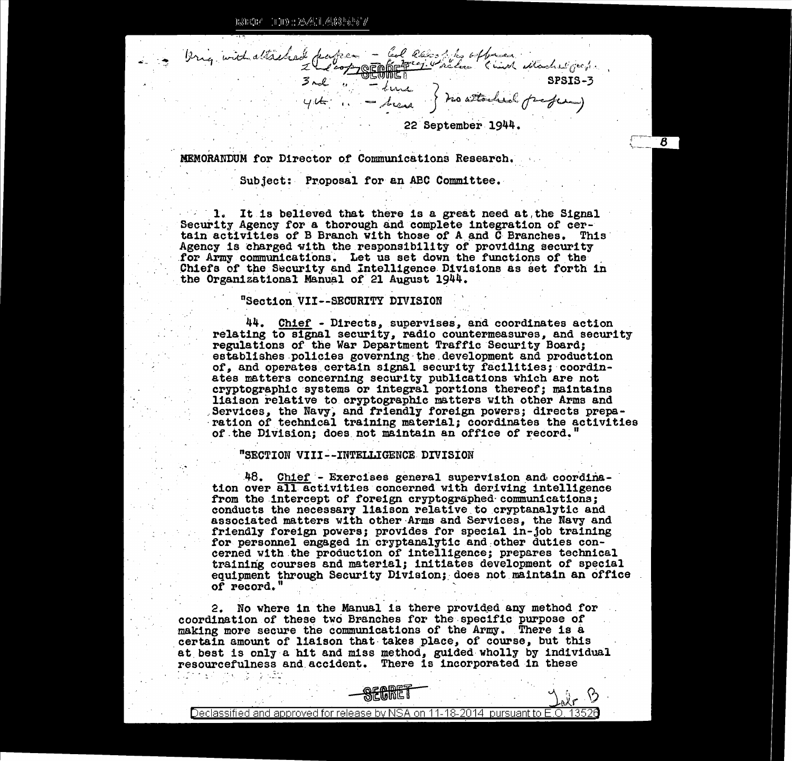ESECE 100:2041.4885557

12 juil attached pages - Col lés sites officer ditached grapes

22 September 1944.

 $\boldsymbol{\beta}$ 

MEMORANDUM for Director of Communications Research.

Subject: Proposal for an ABC Committee.

1. It is believed that there is a great need at the Signal Security Agency for a thorough and complete integration of certain activities of B Branch with those of A and C Branches. This Agency is charged with the responsibility of providing security for Army communications. Let us set down the functions of the Chiefs of the Security and Intelligence Divisions as set forth in the Organizational Manual of 21 August 1944.

## "Section VII--SECURITY DIVISION

44. Chief - Directs, supervises, and coordinates action relating to signal security, radio countermeasures, and security regulations of the War Department Traffic Security Board; establishes policies governing the development and production of, and operates certain signal security facilities; coordinates matters concerning security publications which are not cryptographic systems or integral portions thereof; maintains liaison relative to cryptographic matters with other Arms and Services, the Navy, and friendly foreign powers; directs preparation of technical training material; coordinates the activities of the Division; does not maintain an office of record.

## "SECTION VIII--INTELLIGENCE DIVISION

48. Chief - Exercises general supervision and coordination over all activities concerned with deriving intelligence from the intercept of foreign cryptographed communications; conducts the necessary liaison relative to cryptanalytic and associated matters with other Arms and Services, the Navy and friendly foreign powers; provides for special in-job training for personnel engaged in cryptanalytic and other duties concerned with the production of intelligence; prepares technical training courses and material; initiates development of special equipment through Security Division; does not maintain an office of record."

2. No where in the Manual is there provided any method for coordination of these two Branches for the specific purpose of making more secure the communications of the Army. There is a certain amount of liaison that takes place, of course, but this at best is only a hit and miss method, guided wholly by individual resourcefulness and accident. There is incorporated in these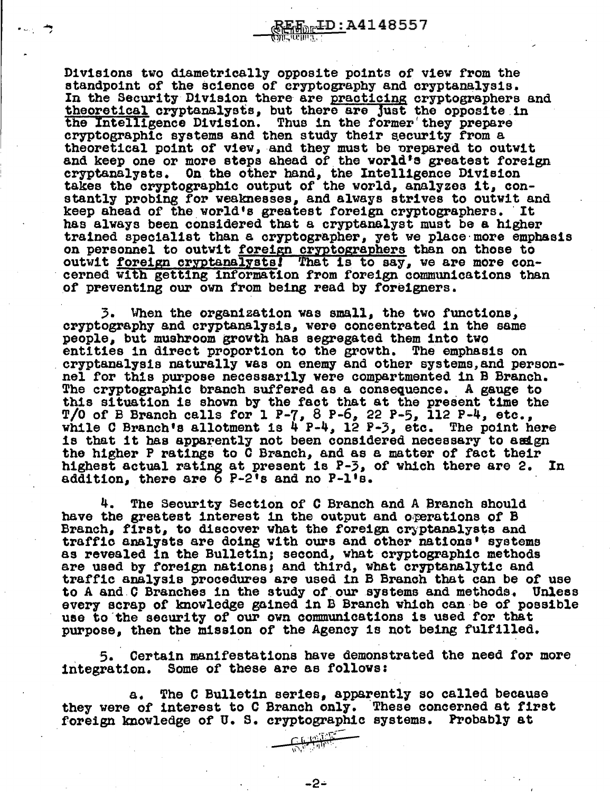Divisions two diametrically opposite points of view from the standpoint of the science of cryptography and cryptanalysis. In the Security Division there are practicing cryptographers and theoretical cryptanalysts, but there are just the opposite in the Intelligence Division. Thus in the former' they prepare cryptographic systems and then study their security from a theoretical point of view, and they must be prepared to outwit and keep one or more steps ahead of the world's greatest foreign and keep one or more steps ahead of the world<sup>1</sup>s greatest foreign cryptanalysts. On the other hand, the Intelligence Division takes the cryptographic output of the world, analyzes it, constantly probing for weaknesses, and always strives to outwit and keep almost and  $\kappa$ keep ahead of the world's greatest foreign cryptographers. It has always been considered that a cryptanalyst must be a higher trained specialist than a cryptographer, yet we place more emphasis on personnel to outwit foreign cryptographers than on those to outwit <u>foreign cryptanalysts</u>! That is to say, we are more con-<br>cerned with getting information from foreign communications than of preventing our own from being read by foreigners.

 $_{\rm En}$ ID:A4148557

 $\overline{\mathbf{z}}$ 

When the organization was small, the two functions. cryptography and cryptanalysis, were concentrated in the same people, but mushroom growth has segregated them into two<br>entities in direct proportion to the growth. The emphasis on eryptanalysis naturally was on enemy and other systems,and person-<br>nel for this purpose necessarily were compartmented in B Branch. The cryptographic branch suffered as a consequence. A gauge to this situation is shown by the fact that at the present time the T/0 of B Branch calls for 1 P-7, 8 P-6, 22 P-5, 112 P-4, etc., while C Branch's allotment is  $4P-4$ ,  $12P-3$ , etc. The point here is that it has apparently not been considered necessary to asign the higher P ratings to  $\bar{C}$  Branch, and as a matter of fact their  $h$  rating at present is P-3, of which there are 2. In highest actual rating at present is  $P-3$ , of which there are 2. addition, there are 6 P-2's and no P-1's.

The Security Section of C Branch and A Branch should have the greatest interest in the output and operations of  $B$ Branch, first, to discover what the foreign cryptanalysts and traffic analysts are doing with ours and other nations• systems as revealed in the Bulletin; second, what cryptographic methods are used by foreign nations) and third, what cryptanalytic and traffic analysis procedures are used 1n B Branch that can be of use to A and C Branches in the study of our systems and methods. Unless every scrap or knowledge gained in B Branch vh1oh can-be of possible use to the security of our own communications is used for that purpose, then the mission of the Agency is not being fulfilled.

*5.* Certain manifestations have demonstrated the need for more integration. Some of these are as follows:

a. The C Bulletin series, apparently so called because they were of interest to C Branch only. These concerned at first foreign knowledge of U. s. cryptographic systems. Probably at

**RHAFF** 

-2-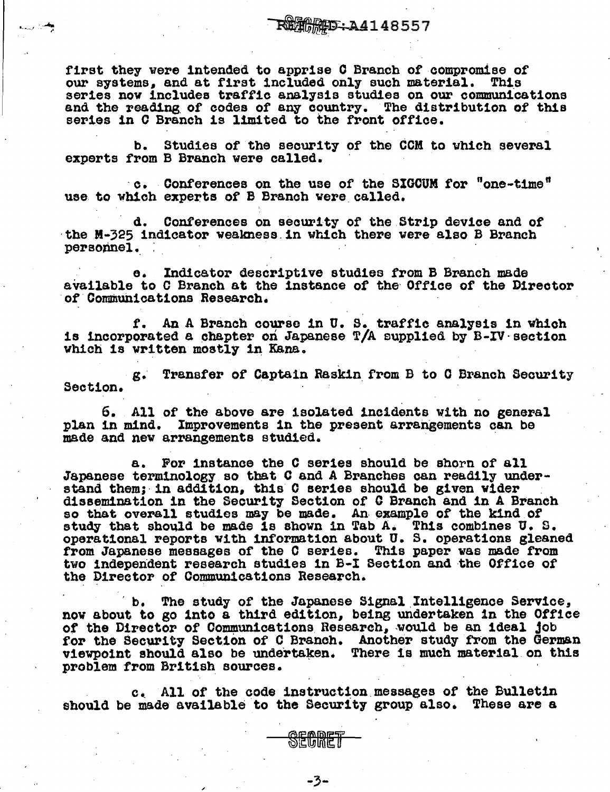first they were intended to apprise C Branch of compromise of current and at first included only such material. This our systems. and at first included only such material. series nov includes traffic analysis studies on our communications and the reading of codes of any country. The distribution of this series in 0 Branch is limited to the front office.

b. Studies of the security of the COM to which several experts from B Branch were called.

·c. Conferences on the use of the SIGOUM for "one-time" use to which experts of B Branch were called.

d. Conferences on security of tbe Strip device and of ·the M-325 indicator weakness.in which there were also B Branch personnel.

e. Indicator descriptive studies from B Branch made available to C Branch at the instance of the Office of the Director of Communications Research.

f. An A Branch course in U. s. traffic analysis in vhich is incorporated a chapter on Japanese T/A supplied by  $B-\text{IV}$  section which is written mostly in Kana.

g. Transfer of Captain Raskin. from B to 0 Branch Security Section.

6. All of the above are isolated incidents with no general plan in mind. Improvements in the present arrangements can be made and new arrangements studied.

a. For instance the C series should be shorn of all Japanese terminology so that C and A Branches can readily under-<br>stand them; in addition, this C series should be given wider dissemination in the Security Section of C Branch and in A Branch so that overall studies may be made. An example of the kind of so that overell studies may be made. An example of the kind of s. operational reports with information about U. S. operations gleaned from Japanese messages of the C series. This paper was made from from Japanese messages of the C series. This paper was made from two independent research studies in B-I Section and the Office of the Director of Communications Research.

b. The study of the Japanese Signal Intelligence Service. now about to go into a third edition, being undertaken in the Office of the Director of Communications Research, would be an ideal job of the Director of Communications Research, would be an ideal job for the Security Section of C Branch. Another study from the German viewpoint should also be undertaken. There is much material on this problem from British sources.

c. All of the code instruction messages of the Bulletin should be made available to the Security group also. These are a



**SECRET**